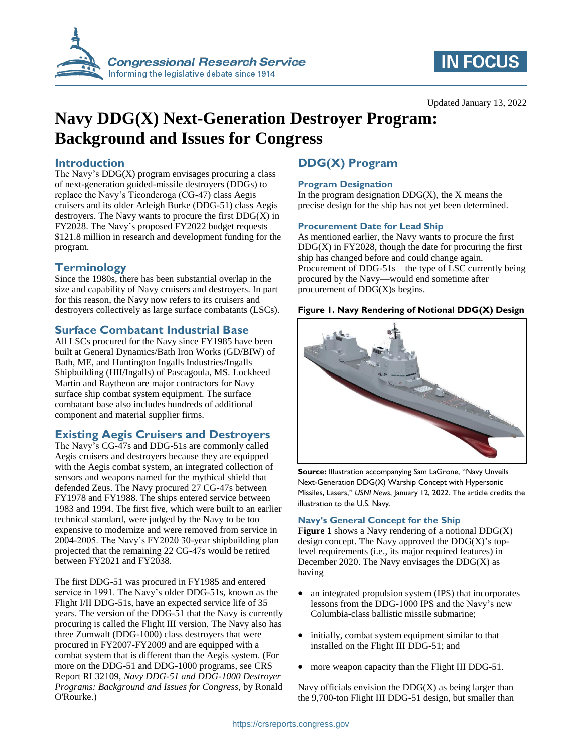

# **IN FOCUS**

# **Navy DDG(X) Next-Generation Destroyer Program: Background and Issues for Congress**

## **Introduction**

The Navy's  $DDG(X)$  program envisages procuring a class of next-generation guided-missile destroyers (DDGs) to replace the Navy's Ticonderoga (CG-47) class Aegis cruisers and its older Arleigh Burke (DDG-51) class Aegis destroyers. The Navy wants to procure the first  $DDG(X)$  in FY2028. The Navy's proposed FY2022 budget requests \$121.8 million in research and development funding for the program.

## **Terminology**

Since the 1980s, there has been substantial overlap in the size and capability of Navy cruisers and destroyers. In part for this reason, the Navy now refers to its cruisers and destroyers collectively as large surface combatants (LSCs).

# **Surface Combatant Industrial Base**

All LSCs procured for the Navy since FY1985 have been built at General Dynamics/Bath Iron Works (GD/BIW) of Bath, ME, and Huntington Ingalls Industries/Ingalls Shipbuilding (HII/Ingalls) of Pascagoula, MS. Lockheed Martin and Raytheon are major contractors for Navy surface ship combat system equipment. The surface combatant base also includes hundreds of additional component and material supplier firms.

# **Existing Aegis Cruisers and Destroyers**

The Navy's CG-47s and DDG-51s are commonly called Aegis cruisers and destroyers because they are equipped with the Aegis combat system, an integrated collection of sensors and weapons named for the mythical shield that defended Zeus. The Navy procured 27 CG-47s between FY1978 and FY1988. The ships entered service between 1983 and 1994. The first five, which were built to an earlier technical standard, were judged by the Navy to be too expensive to modernize and were removed from service in 2004-2005. The Navy's FY2020 30-year shipbuilding plan projected that the remaining 22 CG-47s would be retired between FY2021 and FY2038.

The first DDG-51 was procured in FY1985 and entered service in 1991. The Navy's older DDG-51s, known as the Flight I/II DDG-51s, have an expected service life of 35 years. The version of the DDG-51 that the Navy is currently procuring is called the Flight III version. The Navy also has three Zumwalt (DDG-1000) class destroyers that were procured in FY2007-FY2009 and are equipped with a combat system that is different than the Aegis system. (For more on the DDG-51 and DDG-1000 programs, see CRS Report RL32109, *Navy DDG-51 and DDG-1000 Destroyer Programs: Background and Issues for Congress*, by Ronald O'Rourke.)

# **DDG(X) Program**

#### **Program Designation**

In the program designation  $DDG(X)$ , the X means the precise design for the ship has not yet been determined.

#### **Procurement Date for Lead Ship**

As mentioned earlier, the Navy wants to procure the first  $DDG(X)$  in  $FY2028$ , though the date for procuring the first ship has changed before and could change again. Procurement of DDG-51s—the type of LSC currently being procured by the Navy—would end sometime after procurement of DDG(X)s begins.

#### <span id="page-0-0"></span>**Figure 1. Navy Rendering of Notional DDG(X) Design**



**Source:** Illustration accompanying Sam LaGrone, "Navy Unveils Next-Generation DDG(X) Warship Concept with Hypersonic Missiles, Lasers," *USNI News*, January 12, 2022. The article credits the illustration to the U.S. Navy.

#### **Navy's General Concept for the Ship**

**[Figure 1](#page-0-0)** shows a Navy rendering of a notional DDG(X) design concept. The Navy approved the  $DDG(X)$ 's toplevel requirements (i.e., its major required features) in December 2020. The Navy envisages the  $DDG(X)$  as having

- an integrated propulsion system (IPS) that incorporates lessons from the DDG-1000 IPS and the Navy's new Columbia-class ballistic missile submarine;
- initially, combat system equipment similar to that installed on the Flight III DDG-51; and
- more weapon capacity than the Flight III DDG-51.

Navy officials envision the  $DDG(X)$  as being larger than the 9,700-ton Flight III DDG-51 design, but smaller than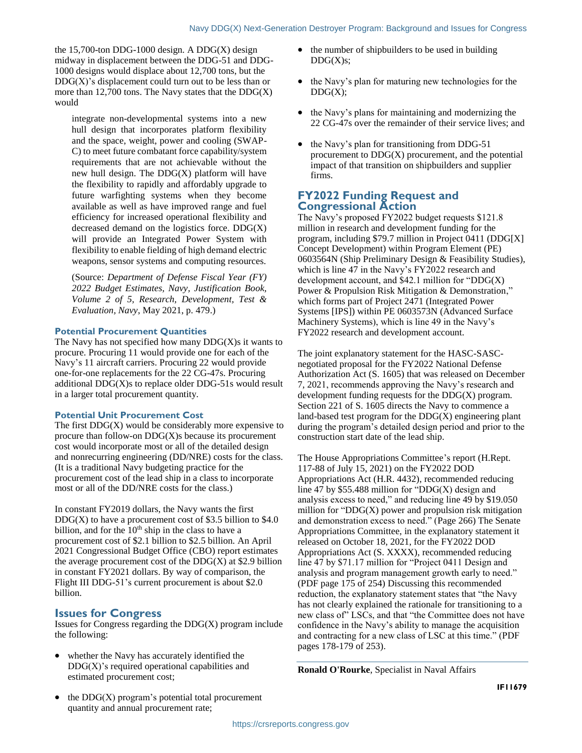the 15,700-ton DDG-1000 design. A DDG(X) design midway in displacement between the DDG-51 and DDG-1000 designs would displace about 12,700 tons, but the  $DDG(X)$ 's displacement could turn out to be less than or more than 12,700 tons. The Navy states that the  $DDG(X)$ would

integrate non-developmental systems into a new hull design that incorporates platform flexibility and the space, weight, power and cooling (SWAP-C) to meet future combatant force capability/system requirements that are not achievable without the new hull design. The  $DDG(X)$  platform will have the flexibility to rapidly and affordably upgrade to future warfighting systems when they become available as well as have improved range and fuel efficiency for increased operational flexibility and decreased demand on the logistics force.  $DDG(X)$ will provide an Integrated Power System with flexibility to enable fielding of high demand electric weapons, sensor systems and computing resources.

(Source: *Department of Defense Fiscal Year (FY) 2022 Budget Estimates, Navy, Justification Book, Volume 2 of 5, Research, Development, Test & Evaluation, Navy*, May 2021, p. 479.)

#### **Potential Procurement Quantities**

The Navy has not specified how many  $DDG(X)$ s it wants to procure. Procuring 11 would provide one for each of the Navy's 11 aircraft carriers. Procuring 22 would provide one-for-one replacements for the 22 CG-47s. Procuring additional DDG(X)s to replace older DDG-51s would result in a larger total procurement quantity.

#### **Potential Unit Procurement Cost**

The first  $DDG(X)$  would be considerably more expensive to procure than follow-on  $DDG(X)$ s because its procurement cost would incorporate most or all of the detailed design and nonrecurring engineering (DD/NRE) costs for the class. (It is a traditional Navy budgeting practice for the procurement cost of the lead ship in a class to incorporate most or all of the DD/NRE costs for the class.)

In constant FY2019 dollars, the Navy wants the first  $DDG(X)$  to have a procurement cost of \$3.5 billion to \$4.0 billion, and for the  $10<sup>th</sup>$  ship in the class to have a procurement cost of \$2.1 billion to \$2.5 billion. An April 2021 Congressional Budget Office (CBO) report estimates the average procurement cost of the  $DDG(X)$  at \$2.9 billion in constant FY2021 dollars. By way of comparison, the Flight III DDG-51's current procurement is about \$2.0 billion.

#### **Issues for Congress**

Issues for Congress regarding the  $DDG(X)$  program include the following:

- whether the Navy has accurately identified the  $DDG(X)$ 's required operational capabilities and estimated procurement cost;
- the  $DDG(X)$  program's potential total procurement quantity and annual procurement rate;
- the number of shipbuilders to be used in building  $DDG(X)s$ ;
- the Navy's plan for maturing new technologies for the  $DDG(X);$
- the Navy's plans for maintaining and modernizing the 22 CG-47s over the remainder of their service lives; and
- the Navy's plan for transitioning from DDG-51 procurement to  $DDG(X)$  procurement, and the potential impact of that transition on shipbuilders and supplier firms.

## **FY2022 Funding Request and Congressional Action**

The Navy's proposed FY2022 budget requests \$121.8 million in research and development funding for the program, including \$79.7 million in Project 0411 (DDG[X] Concept Development) within Program Element (PE) 0603564N (Ship Preliminary Design & Feasibility Studies), which is line 47 in the Navy's FY2022 research and development account, and  $$42.1$  million for "DDG(X) Power & Propulsion Risk Mitigation & Demonstration," which forms part of Project 2471 (Integrated Power Systems [IPS]) within PE 0603573N (Advanced Surface Machinery Systems), which is line 49 in the Navy's FY2022 research and development account.

The joint explanatory statement for the HASC-SASCnegotiated proposal for the FY2022 National Defense Authorization Act (S. 1605) that was released on December 7, 2021, recommends approving the Navy's research and development funding requests for the  $DDG(X)$  program. Section 221 of S. 1605 directs the Navy to commence a land-based test program for the  $DDG(X)$  engineering plant during the program's detailed design period and prior to the construction start date of the lead ship.

The House Appropriations Committee's report (H.Rept. 117-88 of July 15, 2021) on the FY2022 DOD Appropriations Act (H.R. 4432), recommended reducing line 47 by \$55.488 million for "DDG(X) design and analysis excess to need," and reducing line 49 by \$19.050 million for " $DDG(X)$  power and propulsion risk mitigation and demonstration excess to need." (Page 266) The Senate Appropriations Committee, in the explanatory statement it released on October 18, 2021, for the FY2022 DOD Appropriations Act (S. XXXX), recommended reducing line 47 by \$71.17 million for "Project 0411 Design and analysis and program management growth early to need." (PDF page 175 of 254) Discussing this recommended reduction, the explanatory statement states that "the Navy has not clearly explained the rationale for transitioning to a new class of" LSCs, and that "the Committee does not have confidence in the Navy's ability to manage the acquisition and contracting for a new class of LSC at this time." (PDF pages 178-179 of 253).

**Ronald O'Rourke**, Specialist in Naval Affairs